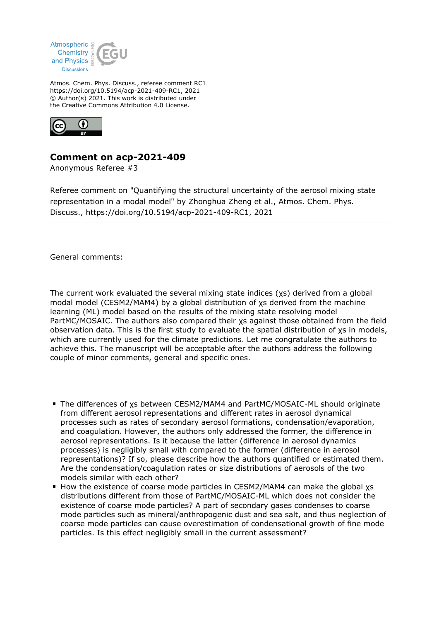

Atmos. Chem. Phys. Discuss., referee comment RC1 https://doi.org/10.5194/acp-2021-409-RC1, 2021 © Author(s) 2021. This work is distributed under the Creative Commons Attribution 4.0 License.



## **Comment on acp-2021-409**

Anonymous Referee #3

Referee comment on "Quantifying the structural uncertainty of the aerosol mixing state representation in a modal model" by Zhonghua Zheng et al., Atmos. Chem. Phys. Discuss., https://doi.org/10.5194/acp-2021-409-RC1, 2021

General comments:

The current work evaluated the several mixing state indices (χs) derived from a global modal model (CESM2/MAM4) by a global distribution of χs derived from the machine learning (ML) model based on the results of the mixing state resolving model PartMC/MOSAIC. The authors also compared their χs against those obtained from the field observation data. This is the first study to evaluate the spatial distribution of χs in models, which are currently used for the climate predictions. Let me congratulate the authors to achieve this. The manuscript will be acceptable after the authors address the following couple of minor comments, general and specific ones.

- The differences of xs between CESM2/MAM4 and PartMC/MOSAIC-ML should originate from different aerosol representations and different rates in aerosol dynamical processes such as rates of secondary aerosol formations, condensation/evaporation, and coagulation. However, the authors only addressed the former, the difference in aerosol representations. Is it because the latter (difference in aerosol dynamics processes) is negligibly small with compared to the former (difference in aerosol representations)? If so, please describe how the authors quantified or estimated them. Are the condensation/coagulation rates or size distributions of aerosols of the two models similar with each other?
- How the existence of coarse mode particles in CESM2/MAM4 can make the global χs distributions different from those of PartMC/MOSAIC-ML which does not consider the existence of coarse mode particles? A part of secondary gases condenses to coarse mode particles such as mineral/anthropogenic dust and sea salt, and thus neglection of coarse mode particles can cause overestimation of condensational growth of fine mode particles. Is this effect negligibly small in the current assessment?